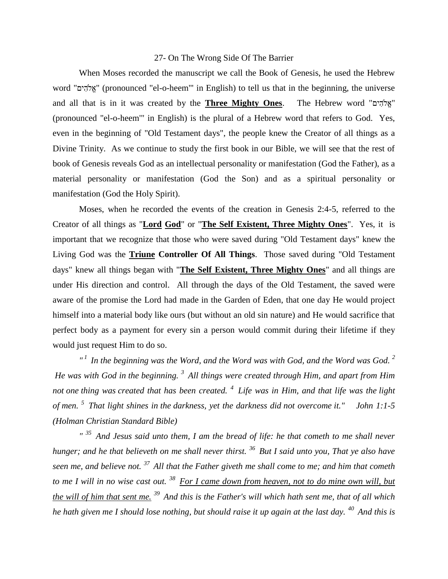## 27- On The Wrong Side Of The Barrier

When Moses recorded the manuscript we call the Book of Genesis, he used the Hebrew word " " (pronounced "el-o-heem'" in English) to tell us that in the beginning, the universe and all that is in it was created by the **Three Mighty Ones**. The Hebrew word " " (pronounced "el-o-heem'" in English) is the plural of a Hebrew word that refers to God. Yes, even in the beginning of "Old Testament days", the people knew the Creator of all things as a Divine Trinity. As we continue to study the first book in our Bible, we will see that the rest of book of Genesis reveals God as an intellectual personality or manifestation (God the Father), as a material personality or manifestation (God the Son) and as a spiritual personality or manifestation (God the Holy Spirit).

Moses, when he recorded the events of the creation in Genesis 2:4-5, referred to the Creator of all things as "**Lord God**" or "**The Self Existent, Three Mighty Ones**". Yes, it is important that we recognize that those who were saved during "Old Testament days" knew the Living God was the **Triune Controller Of All Things**. Those saved during "Old Testament days" knew all things began with "**The Self Existent, Three Mighty Ones**" and all things are under His direction and control. All through the days of the Old Testament, the saved were aware of the promise the Lord had made in the Garden of Eden, that one day He would project himself into a material body like ours (but without an old sin nature) and He would sacrifice that perfect body as a payment for every sin a person would commit during their lifetime if they would just request Him to do so.

*" <sup>1</sup>In the beginning was the Word, and the Word was with God, and the Word was God. <sup>2</sup> He was with God in the beginning. <sup>3</sup>All things were created through Him, and apart from Him not one thing was created that has been created. <sup>4</sup>Life was in Him, and that life was the light of men. <sup>5</sup>That light shines in the darkness, yet the darkness did not overcome it." John 1:1-5 (Holman Christian Standard Bible)*

*" <sup>35</sup>And Jesus said unto them, I am the bread of life: he that cometh to me shall never hunger; and he that believeth on me shall never thirst. <sup>36</sup>But I said unto you, That ye also have seen me, and believe not. <sup>37</sup>All that the Father giveth me shall come to me; and him that cometh to me I will in no wise cast out. <sup>38</sup>For I came down from heaven, not to do mine own will, but the will of him that sent me. <sup>39</sup>And this is the Father's will which hath sent me, that of all which he hath given me I should lose nothing, but should raise it up again at the last day. <sup>40</sup>And this is*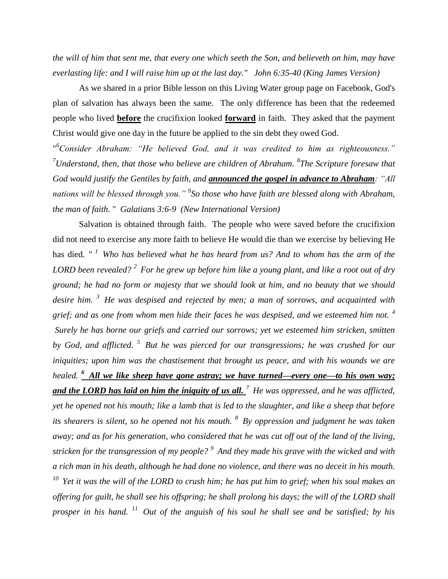*the will of him that sent me, that every one which seeth the Son, and believeth on him, may have everlasting life: and I will raise him up at the last day." John 6:35-40 (King James Version)* 

As we shared in a prior Bible lesson on this Living Water group page on Facebook, God's plan of salvation has always been the same. The only difference has been that the redeemed people who lived **before** the crucifixion looked **forward** in faith. They asked that the payment Christ would give one day in the future be applied to the sin debt they owed God.

" *<sup>6</sup>Consider Abraham: "He believed God, and it was credited to him as righteousness." <sup>7</sup>Understand, then, that those who believe are children of Abraham. <sup>8</sup> The Scripture foresaw that God would justify the Gentiles by faith, and announced the gospel in advance to Abraham: "All nations will be blessed through you." <sup>9</sup> So those who have faith are blessed along with Abraham, the man of faith.* " *Galatians 3:6-9 (New International Version)*

Salvation is obtained through faith. The people who were saved before the crucifixion did not need to exercise any more faith to believe He would die than we exercise by believing He has died. *" <sup>1</sup>Who has believed what he has heard from us? And to whom has the arm of the LORD been revealed? <sup>2</sup>For he grew up before him like a young plant, and like a root out of dry ground; he had no form or majesty that we should look at him, and no beauty that we should desire him. <sup>3</sup>He was despised and rejected by men; a man of sorrows, and acquainted with grief; and as one from whom men hide their faces he was despised, and we esteemed him not. <sup>4</sup> Surely he has borne our griefs and carried our sorrows; yet we esteemed him stricken, smitten by God, and afflicted. <sup>5</sup>But he was pierced for our transgressions; he was crushed for our iniquities; upon him was the chastisement that brought us peace, and with his wounds we are healed. <sup>6</sup>All we like sheep have gone astray; we have turned—every one—to his own way; and the LORD has laid on him the iniquity of us all. <sup>7</sup>He was oppressed, and he was afflicted, yet he opened not his mouth; like a lamb that is led to the slaughter, and like a sheep that before its shearers is silent, so he opened not his mouth. <sup>8</sup>By oppression and judgment he was taken away; and as for his generation, who considered that he was cut off out of the land of the living, stricken for the transgression of my people? <sup>9</sup>And they made his grave with the wicked and with a rich man in his death, although he had done no violence, and there was no deceit in his mouth. <sup>10</sup>Yet it was the will of the LORD to crush him; he has put him to grief; when his soul makes an offering for guilt, he shall see his offspring; he shall prolong his days; the will of the LORD shall prosper in his hand. <sup>11</sup>Out of the anguish of his soul he shall see and be satisfied; by his*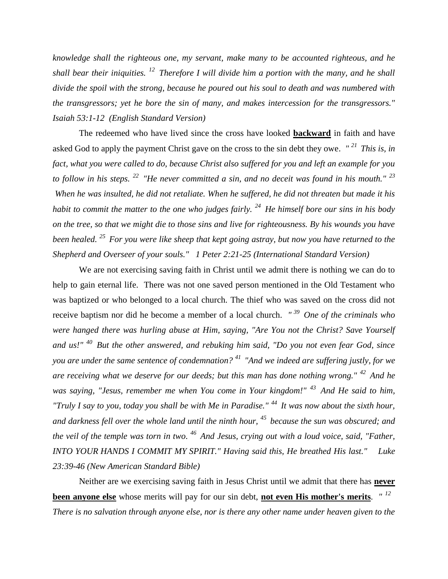*knowledge shall the righteous one, my servant, make many to be accounted righteous, and he shall bear their iniquities. <sup>12</sup>Therefore I will divide him a portion with the many, and he shall divide the spoil with the strong, because he poured out his soul to death and was numbered with the transgressors; yet he bore the sin of many, and makes intercession for the transgressors." Isaiah 53:1-12 (English Standard Version)*

The redeemed who have lived since the cross have looked **backward** in faith and have asked God to apply the payment Christ gave on the cross to the sin debt they owe. *" <sup>21</sup>This is, in fact, what you were called to do, because Christ also suffered for you and left an example for you to follow in his steps. <sup>22</sup>"He never committed a sin, and no deceit was found in his mouth." <sup>23</sup> When he was insulted, he did not retaliate. When he suffered, he did not threaten but made it his habit to commit the matter to the one who judges fairly. <sup>24</sup>He himself bore our sins in his body on the tree, so that we might die to those sins and live for righteousness. By his wounds you have been healed. <sup>25</sup>For you were like sheep that kept going astray, but now you have returned to the Shepherd and Overseer of your souls." 1 Peter 2:21-25 (International Standard Version)*

We are not exercising saving faith in Christ until we admit there is nothing we can do to help to gain eternal life. There was not one saved person mentioned in the Old Testament who was baptized or who belonged to a local church. The thief who was saved on the cross did not receive baptism nor did he become a member of a local church. *" <sup>39</sup>One of the criminals who were hanged there was hurling abuse at Him, saying, "Are You not the Christ? Save Yourself and us!" <sup>40</sup>But the other answered, and rebuking him said, "Do you not even fear God, since you are under the same sentence of condemnation? <sup>41</sup>"And we indeed are suffering justly, for we are receiving what we deserve for our deeds; but this man has done nothing wrong." <sup>42</sup>And he was saying, "Jesus, remember me when You come in Your kingdom!" <sup>43</sup>And He said to him, "Truly I say to you, today you shall be with Me in Paradise." <sup>44</sup>It was now about the sixth hour, and darkness fell over the whole land until the ninth hour, <sup>45</sup>because the sun was obscured; and the veil of the temple was torn in two. <sup>46</sup>And Jesus, crying out with a loud voice, said, "Father, INTO YOUR HANDS I COMMIT MY SPIRIT." Having said this, He breathed His last." Luke 23:39-46 (New American Standard Bible)*

Neither are we exercising saving faith in Jesus Christ until we admit that there has **never been anyone else** whose merits will pay for our sin debt, **not even His mother's merits**. *" 12 There is no salvation through anyone else, nor is there any other name under heaven given to the*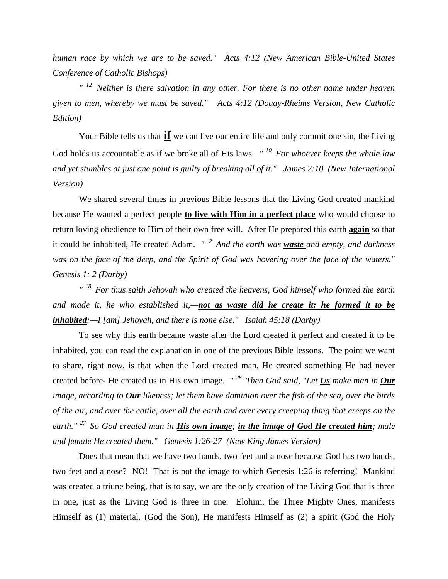*human race by which we are to be saved." Acts 4:12 (New American Bible-United States Conference of Catholic Bishops)* 

*" <sup>12</sup>Neither is there salvation in any other. For there is no other name under heaven given to men, whereby we must be saved." Acts 4:12 (Douay-Rheims Version, New Catholic Edition)*

Your Bible tells us that **if** we can live our entire life and only commit one sin, the Living God holds us accountable as if we broke all of His laws. *" <sup>10</sup>For whoever keeps the whole law and yet stumbles at just one point is guilty of breaking all of it." James 2:10 (New International Version)* 

We shared several times in previous Bible lessons that the Living God created mankind because He wanted a perfect people **to live with Him in a perfect place** who would choose to return loving obedience to Him of their own free will. After He prepared this earth **again** so that it could be inhabited, He created Adam. *" <sup>2</sup>And the earth was waste and empty, and darkness was on the face of the deep, and the Spirit of God was hovering over the face of the waters." Genesis 1: 2 (Darby)*

*" <sup>18</sup>For thus saith Jehovah who created the heavens, God himself who formed the earth and made it, he who established it,—not as waste did he create it: he formed it to be inhabited:—I [am] Jehovah, and there is none else." Isaiah 45:18 (Darby)*

To see why this earth became waste after the Lord created it perfect and created it to be inhabited, you can read the explanation in one of the previous Bible lessons. The point we want to share, right now, is that when the Lord created man, He created something He had never created before- He created us in His own image. *" <sup>26</sup>Then God said, "Let Us make man in Our image, according to Our likeness; let them have dominion over the fish of the sea, over the birds of the air, and over the cattle, over all the earth and over every creeping thing that creeps on the earth." <sup>27</sup>So God created man in His own image; in the image of God He created him; male and female He created them." Genesis 1:26-27 (New King James Version)* 

Does that mean that we have two hands, two feet and a nose because God has two hands, two feet and a nose? NO! That is not the image to which Genesis 1:26 is referring! Mankind was created a triune being, that is to say, we are the only creation of the Living God that is three in one, just as the Living God is three in one. Elohim, the Three Mighty Ones, manifests Himself as (1) material, (God the Son), He manifests Himself as (2) a spirit (God the Holy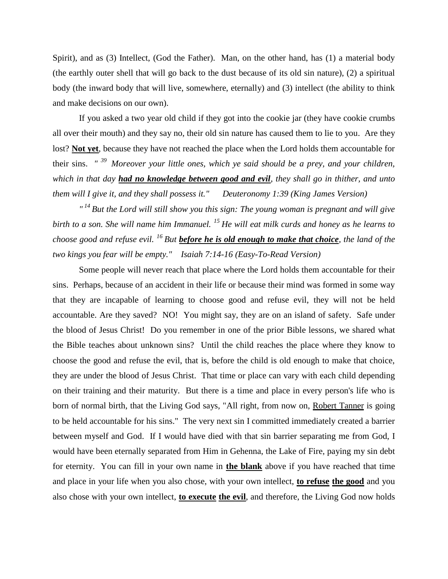Spirit), and as (3) Intellect, (God the Father). Man, on the other hand, has (1) a material body (the earthly outer shell that will go back to the dust because of its old sin nature), (2) a spiritual body (the inward body that will live, somewhere, eternally) and (3) intellect (the ability to think and make decisions on our own).

If you asked a two year old child if they got into the cookie jar (they have cookie crumbs all over their mouth) and they say no, their old sin nature has caused them to lie to you. Are they lost? **Not yet**, because they have not reached the place when the Lord holds them accountable for their sins. *" <sup>39</sup>Moreover your little ones, which ye said should be a prey, and your children, which in that day had no knowledge between good and evil, they shall go in thither, and unto them will I give it, and they shall possess it." Deuteronomy 1:39 (King James Version)* 

*" <sup>14</sup>But the Lord will still show you this sign: The young woman is pregnant and will give birth to a son. She will name him Immanuel. <sup>15</sup>He will eat milk curds and honey as he learns to choose good and refuse evil. <sup>16</sup>But before he is old enough to make that choice, the land of the two kings you fear will be empty." Isaiah 7:14-16 (Easy-To-Read Version)*

Some people will never reach that place where the Lord holds them accountable for their sins. Perhaps, because of an accident in their life or because their mind was formed in some way that they are incapable of learning to choose good and refuse evil, they will not be held accountable. Are they saved? NO! You might say, they are on an island of safety. Safe under the blood of Jesus Christ! Do you remember in one of the prior Bible lessons, we shared what the Bible teaches about unknown sins? Until the child reaches the place where they know to choose the good and refuse the evil, that is, before the child is old enough to make that choice, they are under the blood of Jesus Christ. That time or place can vary with each child depending on their training and their maturity. But there is a time and place in every person's life who is born of normal birth, that the Living God says, "All right, from now on, Robert Tanner is going to be held accountable for his sins." The very next sin I committed immediately created a barrier between myself and God. If I would have died with that sin barrier separating me from God, I would have been eternally separated from Him in Gehenna, the Lake of Fire, paying my sin debt for eternity. You can fill in your own name in **the blank** above if you have reached that time and place in your life when you also chose, with your own intellect, **to refuse the good** and you also chose with your own intellect, **to execute the evil**, and therefore, the Living God now holds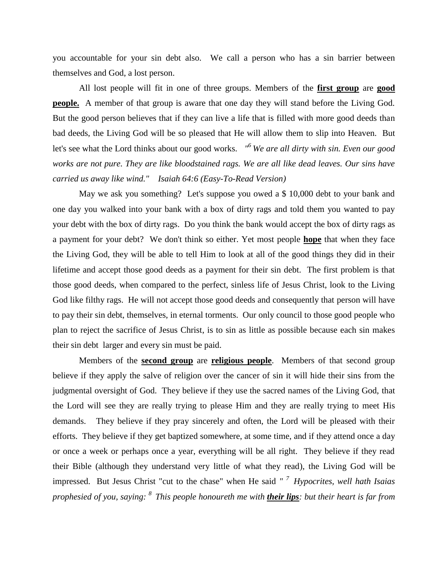you accountable for your sin debt also. We call a person who has a sin barrier between themselves and God, a lost person.

All lost people will fit in one of three groups. Members of the **first group** are **good people.** A member of that group is aware that one day they will stand before the Living God. But the good person believes that if they can live a life that is filled with more good deeds than bad deeds, the Living God will be so pleased that He will allow them to slip into Heaven. But let's see what the Lord thinks about our good works. *" <sup>6</sup>We are all dirty with sin. Even our good works are not pure. They are like bloodstained rags. We are all like dead leaves. Our sins have carried us away like wind." Isaiah 64:6 (Easy-To-Read Version)*

May we ask you something? Let's suppose you owed a \$ 10,000 debt to your bank and one day you walked into your bank with a box of dirty rags and told them you wanted to pay your debt with the box of dirty rags. Do you think the bank would accept the box of dirty rags as a payment for your debt? We don't think so either. Yet most people **hope** that when they face the Living God, they will be able to tell Him to look at all of the good things they did in their lifetime and accept those good deeds as a payment for their sin debt. The first problem is that those good deeds, when compared to the perfect, sinless life of Jesus Christ, look to the Living God like filthy rags. He will not accept those good deeds and consequently that person will have to pay their sin debt, themselves, in eternal torments. Our only council to those good people who plan to reject the sacrifice of Jesus Christ, is to sin as little as possible because each sin makes their sin debt larger and every sin must be paid.

Members of the **second group** are **religious people**. Members of that second group believe if they apply the salve of religion over the cancer of sin it will hide their sins from the judgmental oversight of God. They believe if they use the sacred names of the Living God, that the Lord will see they are really trying to please Him and they are really trying to meet His demands. They believe if they pray sincerely and often, the Lord will be pleased with their efforts. They believe if they get baptized somewhere, at some time, and if they attend once a day or once a week or perhaps once a year, everything will be all right. They believe if they read their Bible (although they understand very little of what they read), the Living God will be impressed. But Jesus Christ "cut to the chase" when He said *" <sup>7</sup> Hypocrites, well hath Isaias prophesied of you, saying: <sup>8</sup>This people honoureth me with their lips: but their heart is far from*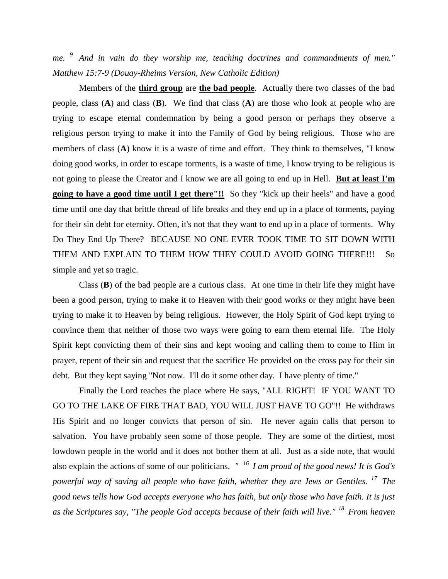*me. <sup>9</sup>And in vain do they worship me, teaching doctrines and commandments of men." Matthew 15:7-9 (Douay-Rheims Version, New Catholic Edition)*

Members of the **third group** are **the bad people**. Actually there two classes of the bad people, class (**A**) and class (**B**). We find that class (**A**) are those who look at people who are trying to escape eternal condemnation by being a good person or perhaps they observe a religious person trying to make it into the Family of God by being religious. Those who are members of class (**A**) know it is a waste of time and effort. They think to themselves, "I know doing good works, in order to escape torments, is a waste of time, I know trying to be religious is not going to please the Creator and I know we are all going to end up in Hell. **But at least I'm going to have a good time until I get there"!!** So they "kick up their heels" and have a good time until one day that brittle thread of life breaks and they end up in a place of torments, paying for their sin debt for eternity. Often, it's not that they want to end up in a place of torments. Why Do They End Up There? BECAUSE NO ONE EVER TOOK TIME TO SIT DOWN WITH THEM AND EXPLAIN TO THEM HOW THEY COULD AVOID GOING THERE!!! So simple and yet so tragic.

Class (**B**) of the bad people are a curious class. At one time in their life they might have been a good person, trying to make it to Heaven with their good works or they might have been trying to make it to Heaven by being religious. However, the Holy Spirit of God kept trying to convince them that neither of those two ways were going to earn them eternal life. The Holy Spirit kept convicting them of their sins and kept wooing and calling them to come to Him in prayer, repent of their sin and request that the sacrifice He provided on the cross pay for their sin debt. But they kept saying "Not now. I'll do it some other day. I have plenty of time."

Finally the Lord reaches the place where He says, "ALL RIGHT! IF YOU WANT TO GO TO THE LAKE OF FIRE THAT BAD, YOU WILL JUST HAVE TO GO"!! He withdraws His Spirit and no longer convicts that person of sin. He never again calls that person to salvation. You have probably seen some of those people. They are some of the dirtiest, most lowdown people in the world and it does not bother them at all. Just as a side note, that would also explain the actions of some of our politicians. *" <sup>16</sup>I am proud of the good news! It is God's powerful way of saving all people who have faith, whether they are Jews or Gentiles. <sup>17</sup>The good news tells how God accepts everyone who has faith, but only those who have faith. It is just as the Scriptures say, "The people God accepts because of their faith will live." <sup>18</sup>From heaven*